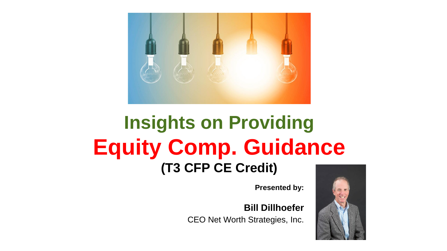

#### **Insights on Providing Equity Comp. Guidance (T3 CFP CE Credit)**

**Presented by:**

**Bill Dillhoefer**

CEO Net Worth Strategies, Inc.

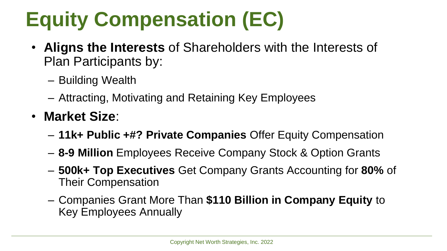# **Equity Compensation (EC)**

- **Aligns the Interests** of Shareholders with the Interests of Plan Participants by:
	- Building Wealth
	- Attracting, Motivating and Retaining Key Employees
- **Market Size**:
	- **11k+ Public +#? Private Companies** Offer Equity Compensation
	- **8-9 Million** Employees Receive Company Stock & Option Grants
	- **500k+ Top Executives** Get Company Grants Accounting for **80%** of Their Compensation
	- Companies Grant More Than **\$110 Billion in Company Equity** to Key Employees Annually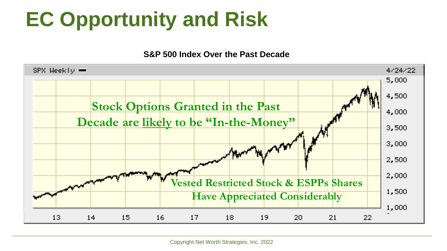## **EC Opportunity and Risk**

**S&P 500 Index Over the Past Decade**

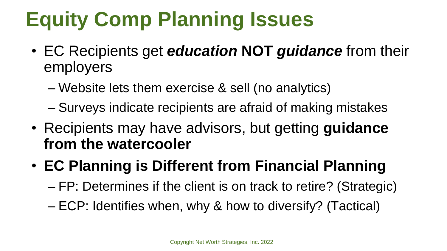## **Equity Comp Planning Issues**

- EC Recipients get *education* **NOT** *guidance* from their employers
	- Website lets them exercise & sell (no analytics)
	- Surveys indicate recipients are afraid of making mistakes
- Recipients may have advisors, but getting **guidance from the watercooler**
- **EC Planning is Different from Financial Planning**
	- FP: Determines if the client is on track to retire? (Strategic)
	- ECP: Identifies when, why & how to diversify? (Tactical)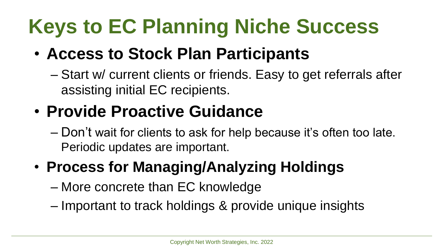# **Keys to EC Planning Niche Success**

#### • **Access to Stock Plan Participants**

– Start w/ current clients or friends. Easy to get referrals after assisting initial EC recipients.

#### • **Provide Proactive Guidance**

– Don't wait for clients to ask for help because it's often too late. Periodic updates are important.

#### • **Process for Managing/Analyzing Holdings**

- More concrete than EC knowledge
- Important to track holdings & provide unique insights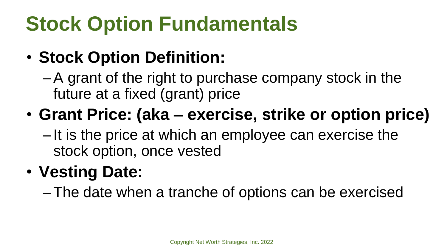## **Stock Option Fundamentals**

#### • **Stock Option Definition:**

–A grant of the right to purchase company stock in the future at a fixed (grant) price

#### • **Grant Price: (aka – exercise, strike or option price)**

– It is the price at which an employee can exercise the stock option, once vested

#### • **Vesting Date:**

–The date when a tranche of options can be exercised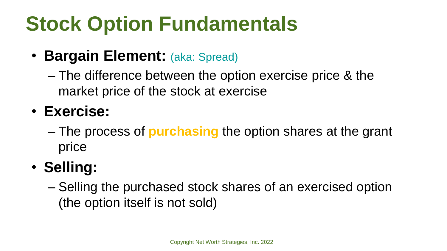## **Stock Option Fundamentals**

- **Bargain Element:** (aka: Spread)
	- The difference between the option exercise price & the market price of the stock at exercise
- **Exercise:**
	- The process of **purchasing** the option shares at the grant price
- **Selling:**
	- Selling the purchased stock shares of an exercised option (the option itself is not sold)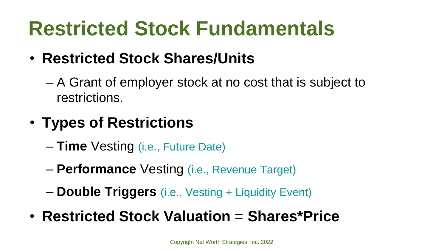## **Restricted Stock Fundamentals**

- **Restricted Stock Shares/Units** 
	- A Grant of employer stock at no cost that is subject to restrictions.
- **Types of Restrictions** 
	- **Time** Vesting (i.e., Future Date)
	- **Performance** Vesting (i.e., Revenue Target)
	- **Double Triggers** (i.e., Vesting + Liquidity Event)
- **Restricted Stock Valuation** = **Shares\*Price**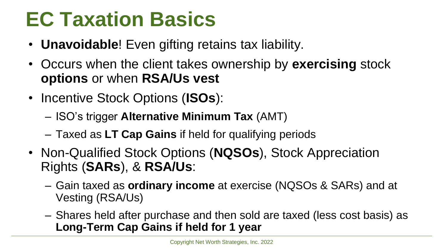### **EC Taxation Basics**

- **Unavoidable**! Even gifting retains tax liability.
- Occurs when the client takes ownership by **exercising** stock **options** or when **RSA/Us vest**
- Incentive Stock Options (**ISOs**):
	- ISO's trigger **Alternative Minimum Tax** (AMT)
	- Taxed as **LT Cap Gains** if held for qualifying periods
- Non-Qualified Stock Options (**NQSOs**), Stock Appreciation Rights (**SARs**), & **RSA/Us**:
	- Gain taxed as **ordinary income** at exercise (NQSOs & SARs) and at Vesting (RSA/Us)
	- Shares held after purchase and then sold are taxed (less cost basis) as **Long-Term Cap Gains if held for 1 year**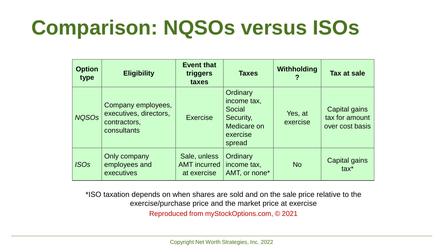## **Comparison: NQSOs versus ISOs**

| <b>Option</b><br>type | <b>Eligibility</b>                                                          | <b>Event that</b><br>triggers<br>taxes             | <b>Taxes</b>                                                                        | Withholding         | Tax at sale                                        |
|-----------------------|-----------------------------------------------------------------------------|----------------------------------------------------|-------------------------------------------------------------------------------------|---------------------|----------------------------------------------------|
| <b>NQSOs</b>          | Company employees,<br>executives, directors,<br>contractors,<br>consultants | <b>Exercise</b>                                    | Ordinary<br>income tax,<br>Social<br>Security,<br>Medicare on<br>exercise<br>spread | Yes, at<br>exercise | Capital gains<br>tax for amount<br>over cost basis |
| <b>ISOs</b>           | Only company<br>employees and<br>executives                                 | Sale, unless<br><b>AMT</b> incurred<br>at exercise | Ordinary<br>income tax,<br>AMT, or none*                                            | <b>No</b>           | Capital gains<br>$\text{tax}^*$                    |

\*ISO taxation depends on when shares are sold and on the sale price relative to the exercise/purchase price and the market price at exercise Reproduced from myStockOptions.com, © 2021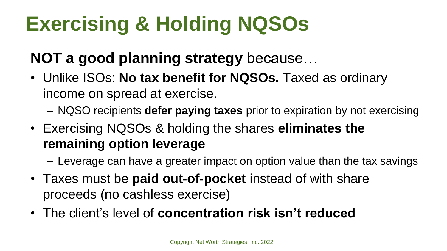# **Exercising & Holding NQSOs**

#### **NOT a good planning strategy** because…

- Unlike ISOs: **No tax benefit for NQSOs.** Taxed as ordinary income on spread at exercise.
	- NQSO recipients **defer paying taxes** prior to expiration by not exercising
- Exercising NQSOs & holding the shares **eliminates the remaining option leverage**
	- Leverage can have a greater impact on option value than the tax savings
- Taxes must be **paid out-of-pocket** instead of with share proceeds (no cashless exercise)
- The client's level of **concentration risk isn't reduced**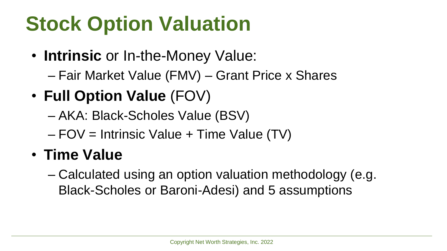## **Stock Option Valuation**

- **Intrinsic** or In-the-Money Value:
	- Fair Market Value (FMV) Grant Price x Shares
- **Full Option Value** (FOV)
	- AKA: Black-Scholes Value (BSV)
	- FOV = Intrinsic Value + Time Value (TV)

#### • **Time Value**

– Calculated using an option valuation methodology (e.g. Black-Scholes or Baroni-Adesi) and 5 assumptions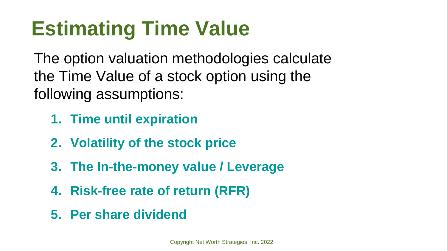## **Estimating Time Value**

The option valuation methodologies calculate the Time Value of a stock option using the following assumptions:

- **1. Time until expiration**
- **2. Volatility of the stock price**
- **3. The In-the-money value / Leverage**
- **4. Risk-free rate of return (RFR)**
- **5. Per share dividend**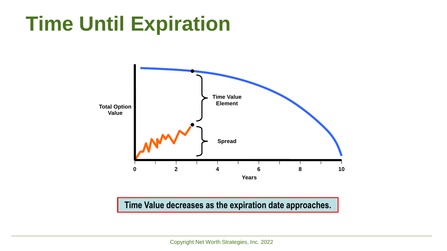#### **Time Until Expiration**



#### **Time Value decreases as the expiration date approaches.**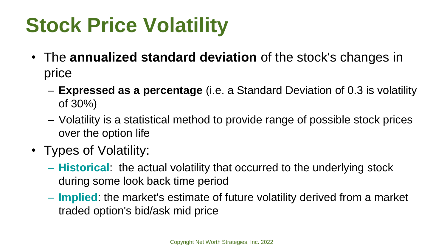## **Stock Price Volatility**

- The **annualized standard deviation** of the stock's changes in price
	- **Expressed as a percentage** (i.e. a Standard Deviation of 0.3 is volatility of 30%)
	- Volatility is a statistical method to provide range of possible stock prices over the option life
- Types of Volatility:
	- **Historical**: the actual volatility that occurred to the underlying stock during some look back time period
	- **Implied**: the market's estimate of future volatility derived from a market traded option's bid/ask mid price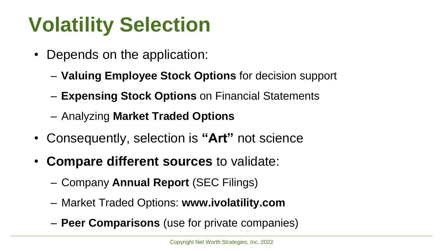## **Volatility Selection**

- Depends on the application:
	- **Valuing Employee Stock Options** for decision support
	- **Expensing Stock Options** on Financial Statements
	- Analyzing **Market Traded Options**
- Consequently, selection is **"Art"** not science
- **Compare different sources** to validate:
	- Company **Annual Report** (SEC Filings)
	- Market Traded Options: **www.ivolatility.com**
	- **Peer Comparisons** (use for private companies)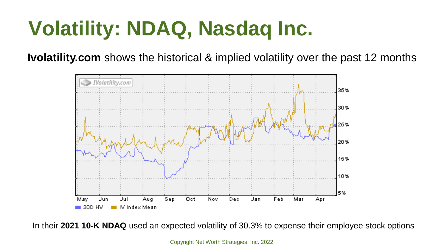## **Volatility: NDAQ, Nasdaq Inc.**

**Ivolatility.com** shows the historical & implied volatility over the past 12 months



In their **2021 10-K NDAQ** used an expected volatility of 30.3% to expense their employee stock options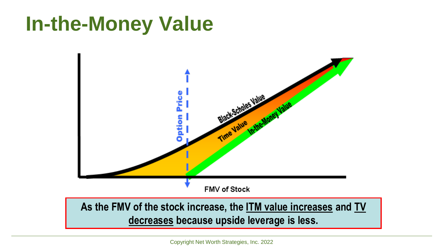#### **In-the-Money Value**



#### **As the FMV of the stock increase, the ITM value increases and TV decreases because upside leverage is less.**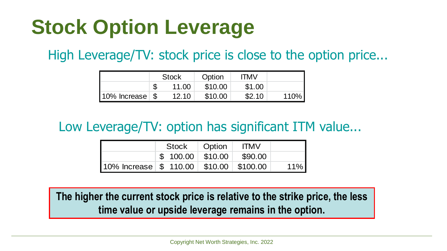### **Stock Option Leverage**

High Leverage/TV: stock price is close to the option price...

|                               | <b>Stock</b> |       | Option  | <b>ITMV</b> |      |
|-------------------------------|--------------|-------|---------|-------------|------|
|                               |              | 11.00 | \$10.00 | \$1.00      |      |
| $10\%$ Increase $\frac{1}{5}$ |              | 12.10 | \$10.00 | \$2.10      | 110% |

#### Low Leverage/TV: option has significant ITM value...

|                                                                                   | Stock |  | Option                           | <b>ITMV</b> |     |
|-----------------------------------------------------------------------------------|-------|--|----------------------------------|-------------|-----|
|                                                                                   |       |  | $$100.00 \;   \; $10.00 \;   \;$ | \$90,00     |     |
| $10\%$ Increase $\frac{1}{2}$ 110.00 $\frac{1}{2}$ \$10.00 $\frac{1}{2}$ \$100.00 |       |  |                                  |             | 11% |

**The higher the current stock price is relative to the strike price, the less time value or upside leverage remains in the option.**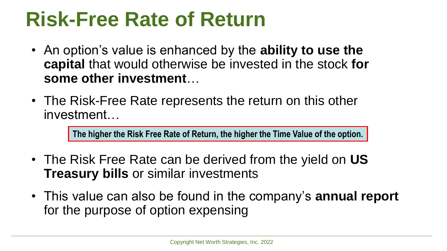#### **Risk-Free Rate of Return**

- An option's value is enhanced by the **ability to use the capital** that would otherwise be invested in the stock **for some other investment**…
- The Risk-Free Rate represents the return on this other investment…

**The higher the Risk Free Rate of Return, the higher the Time Value of the option.** 

- The Risk Free Rate can be derived from the yield on **US Treasury bills** or similar investments
- This value can also be found in the company's **annual report**  for the purpose of option expensing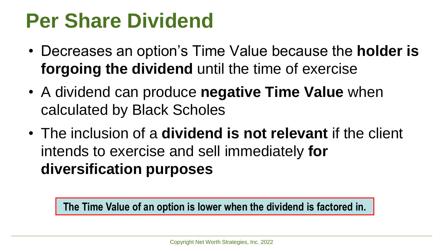#### **Per Share Dividend**

- Decreases an option's Time Value because the **holder is forgoing the dividend** until the time of exercise
- A dividend can produce **negative Time Value** when calculated by Black Scholes
- The inclusion of a **dividend is not relevant** if the client intends to exercise and sell immediately **for diversification purposes**

**The Time Value of an option is lower when the dividend is factored in.**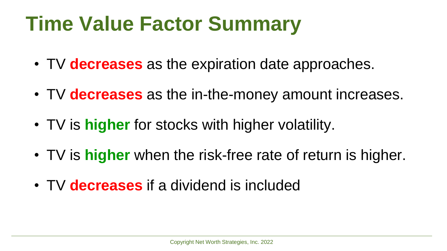## **Time Value Factor Summary**

- TV **decreases** as the expiration date approaches.
- TV **decreases** as the in-the-money amount increases.
- TV is **higher** for stocks with higher volatility.
- TV is **higher** when the risk-free rate of return is higher.
- TV **decreases** if a dividend is included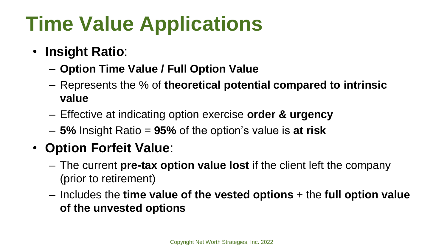## **Time Value Applications**

- **Insight Ratio**:
	- **Option Time Value / Full Option Value**
	- Represents the % of **theoretical potential compared to intrinsic value**
	- Effective at indicating option exercise **order & urgency**
	- **5%** Insight Ratio = **95%** of the option's value is **at risk**

#### • **Option Forfeit Value**:

- The current **pre-tax option value lost** if the client left the company (prior to retirement)
- Includes the **time value of the vested options** + the **full option value of the unvested options**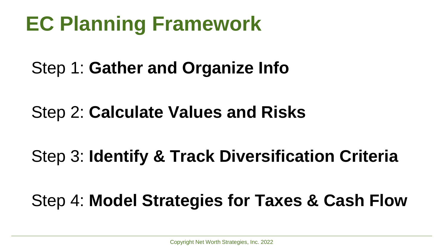### **EC Planning Framework**

#### Step 1: **Gather and Organize Info**

#### Step 2: **Calculate Values and Risks**

#### Step 3: **Identify & Track Diversification Criteria**

#### Step 4: **Model Strategies for Taxes & Cash Flow**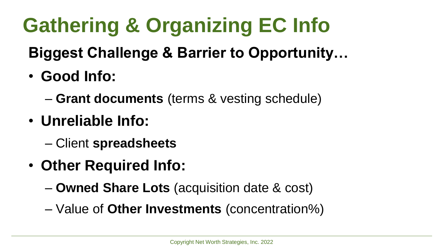# **Gathering & Organizing EC Info**

#### **Biggest Challenge & Barrier to Opportunity…**

- **Good Info:**
	- **Grant documents** (terms & vesting schedule)
- **Unreliable Info:** 
	- Client **spreadsheets**
- **Other Required Info:**
	- **Owned Share Lots** (acquisition date & cost)
	- Value of **Other Investments** (concentration%)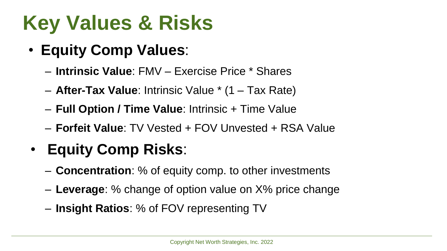# **Key Values & Risks**

- **Equity Comp Values**:
	- **Intrinsic Value**: FMV Exercise Price \* Shares
	- **After-Tax Value**: Intrinsic Value \* (1 Tax Rate)
	- **Full Option / Time Value**: Intrinsic + Time Value
	- **Forfeit Value**: TV Vested + FOV Unvested + RSA Value

#### • **Equity Comp Risks**:

- **Concentration**: % of equity comp. to other investments
- **Leverage**: % change of option value on X% price change
- **Insight Ratios**: % of FOV representing TV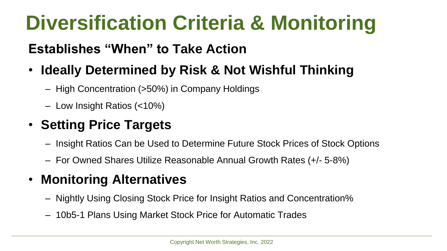## **Diversification Criteria & Monitoring**

#### **Establishes "When" to Take Action**

#### • **Ideally Determined by Risk & Not Wishful Thinking**

- High Concentration (>50%) in Company Holdings
- Low Insight Ratios (<10%)

#### • **Setting Price Targets**

- Insight Ratios Can be Used to Determine Future Stock Prices of Stock Options
- For Owned Shares Utilize Reasonable Annual Growth Rates (+/- 5-8%)

#### • **Monitoring Alternatives**

- Nightly Using Closing Stock Price for Insight Ratios and Concentration%
- 10b5-1 Plans Using Market Stock Price for Automatic Trades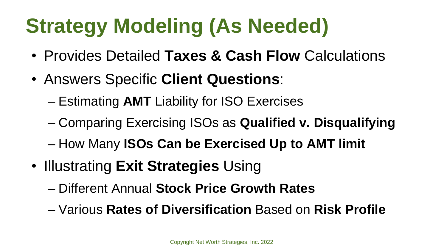## **Strategy Modeling (As Needed)**

- Provides Detailed **Taxes & Cash Flow** Calculations
- Answers Specific **Client Questions**:
	- Estimating **AMT** Liability for ISO Exercises
	- Comparing Exercising ISOs as **Qualified v. Disqualifying**
	- How Many **ISOs Can be Exercised Up to AMT limit**
- Illustrating **Exit Strategies** Using
	- Different Annual **Stock Price Growth Rates**
	- Various **Rates of Diversification** Based on **Risk Profile**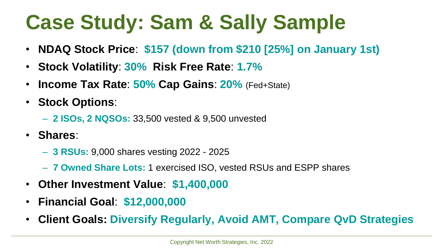## **Case Study: Sam & Sally Sample**

- **NDAQ Stock Price**: **\$157 (down from \$210 [25%] on January 1st)**
- **Stock Volatility**: **30% Risk Free Rate**: **1.7%**
- **Income Tax Rate**: **50% Cap Gains**: **20%** (Fed+State)
- **Stock Options**:
	- **2 ISOs, 2 NQSOs:** 33,500 vested & 9,500 unvested
- **Shares**:
	- **3 RSUs:** 9,000 shares vesting 2022 2025
	- **7 Owned Share Lots:** 1 exercised ISO, vested RSUs and ESPP shares
- **Other Investment Value**: **\$1,400,000**
- **Financial Goal**: **\$12,000,000**
- **Client Goals: Diversify Regularly, Avoid AMT, Compare QvD Strategies**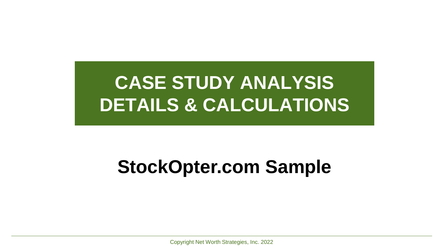#### **CASE STUDY ANALYSIS DETAILS & CALCULATIONS**

#### **StockOpter.com Sample**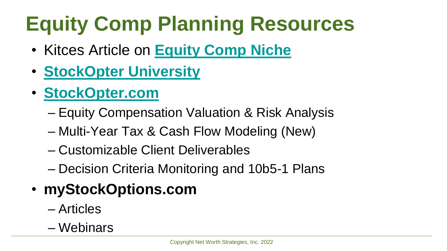# **Equity Comp Planning Resources**

- Kitces Article on **[Equity Comp Niche](https://www.kitces.com/blog/equity-compensation-planning-executives-stockopter-option-grants-share-grants-valuation-analysis-modeling/)**
- **[StockOpter University](https://stockopter.com/blog/)**
- **[StockOpter.com](https://stockopter.com/)**
	- Equity Compensation Valuation & Risk Analysis
	- Multi-Year Tax & Cash Flow Modeling (New)
	- Customizable Client Deliverables
	- Decision Criteria Monitoring and 10b5-1 Plans
- **myStockOptions.com**
	- Articles
	- Webinars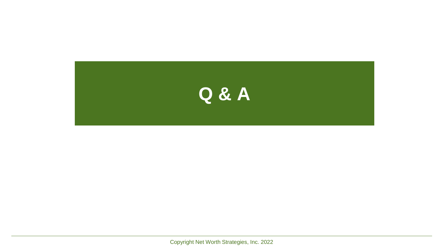